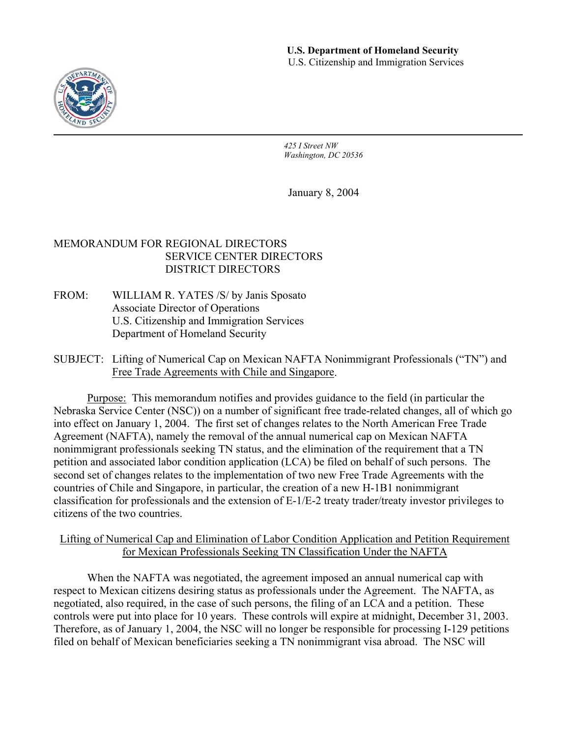

*425 I Street NW Washington, DC 20536* 

January 8, 2004

# MEMORANDUM FOR REGIONAL DIRECTORS SERVICE CENTER DIRECTORS DISTRICT DIRECTORS

- FROM: WILLIAM R. YATES /S/ by Janis Sposato Associate Director of Operations U.S. Citizenship and Immigration Services Department of Homeland Security
- SUBJECT: Lifting of Numerical Cap on Mexican NAFTA Nonimmigrant Professionals ("TN") and Free Trade Agreements with Chile and Singapore.

Purpose: This memorandum notifies and provides guidance to the field (in particular the Nebraska Service Center (NSC)) on a number of significant free trade-related changes, all of which go into effect on January 1, 2004. The first set of changes relates to the North American Free Trade Agreement (NAFTA), namely the removal of the annual numerical cap on Mexican NAFTA nonimmigrant professionals seeking TN status, and the elimination of the requirement that a TN petition and associated labor condition application (LCA) be filed on behalf of such persons. The second set of changes relates to the implementation of two new Free Trade Agreements with the countries of Chile and Singapore, in particular, the creation of a new H-1B1 nonimmigrant classification for professionals and the extension of E-1/E-2 treaty trader/treaty investor privileges to citizens of the two countries.

# Lifting of Numerical Cap and Elimination of Labor Condition Application and Petition Requirement for Mexican Professionals Seeking TN Classification Under the NAFTA

When the NAFTA was negotiated, the agreement imposed an annual numerical cap with respect to Mexican citizens desiring status as professionals under the Agreement. The NAFTA, as negotiated, also required, in the case of such persons, the filing of an LCA and a petition. These controls were put into place for 10 years. These controls will expire at midnight, December 31, 2003. Therefore, as of January 1, 2004, the NSC will no longer be responsible for processing I-129 petitions filed on behalf of Mexican beneficiaries seeking a TN nonimmigrant visa abroad. The NSC will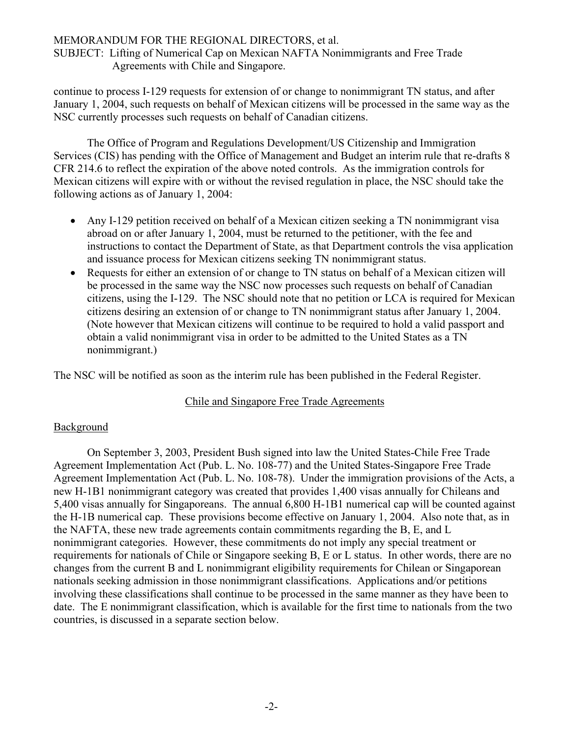## MEMORANDUM FOR THE REGIONAL DIRECTORS, et al.

SUBJECT: Lifting of Numerical Cap on Mexican NAFTA Nonimmigrants and Free Trade Agreements with Chile and Singapore.

continue to process I-129 requests for extension of or change to nonimmigrant TN status, and after January 1, 2004, such requests on behalf of Mexican citizens will be processed in the same way as the NSC currently processes such requests on behalf of Canadian citizens.

The Office of Program and Regulations Development/US Citizenship and Immigration Services (CIS) has pending with the Office of Management and Budget an interim rule that re-drafts 8 CFR 214.6 to reflect the expiration of the above noted controls. As the immigration controls for Mexican citizens will expire with or without the revised regulation in place, the NSC should take the following actions as of January 1, 2004:

- Any I-129 petition received on behalf of a Mexican citizen seeking a TN nonimmigrant visa abroad on or after January 1, 2004, must be returned to the petitioner, with the fee and instructions to contact the Department of State, as that Department controls the visa application and issuance process for Mexican citizens seeking TN nonimmigrant status.
- Requests for either an extension of or change to TN status on behalf of a Mexican citizen will be processed in the same way the NSC now processes such requests on behalf of Canadian citizens, using the I-129. The NSC should note that no petition or LCA is required for Mexican citizens desiring an extension of or change to TN nonimmigrant status after January 1, 2004. (Note however that Mexican citizens will continue to be required to hold a valid passport and obtain a valid nonimmigrant visa in order to be admitted to the United States as a TN nonimmigrant.)

The NSC will be notified as soon as the interim rule has been published in the Federal Register.

#### Chile and Singapore Free Trade Agreements

# Background

On September 3, 2003, President Bush signed into law the United States-Chile Free Trade Agreement Implementation Act (Pub. L. No. 108-77) and the United States-Singapore Free Trade Agreement Implementation Act (Pub. L. No. 108-78). Under the immigration provisions of the Acts, a new H-1B1 nonimmigrant category was created that provides 1,400 visas annually for Chileans and 5,400 visas annually for Singaporeans. The annual 6,800 H-1B1 numerical cap will be counted against the H-1B numerical cap. These provisions become effective on January 1, 2004. Also note that, as in the NAFTA, these new trade agreements contain commitments regarding the B, E, and L nonimmigrant categories. However, these commitments do not imply any special treatment or requirements for nationals of Chile or Singapore seeking B, E or L status. In other words, there are no changes from the current B and L nonimmigrant eligibility requirements for Chilean or Singaporean nationals seeking admission in those nonimmigrant classifications. Applications and/or petitions involving these classifications shall continue to be processed in the same manner as they have been to date. The E nonimmigrant classification, which is available for the first time to nationals from the two countries, is discussed in a separate section below.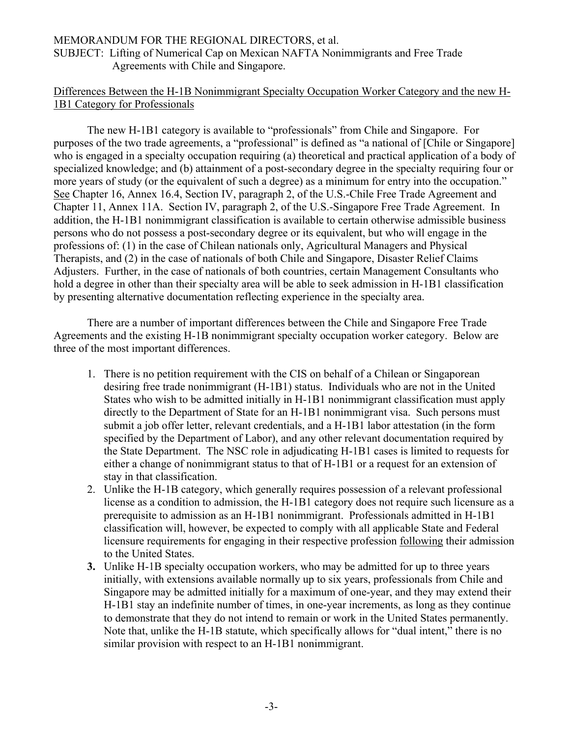#### MEMORANDUM FOR THE REGIONAL DIRECTORS, et al. SUBJECT: Lifting of Numerical Cap on Mexican NAFTA Nonimmigrants and Free Trade Agreements with Chile and Singapore.

# Differences Between the H-1B Nonimmigrant Specialty Occupation Worker Category and the new H-1B1 Category for Professionals

The new H-1B1 category is available to "professionals" from Chile and Singapore. For purposes of the two trade agreements, a "professional" is defined as "a national of [Chile or Singapore] who is engaged in a specialty occupation requiring (a) theoretical and practical application of a body of specialized knowledge; and (b) attainment of a post-secondary degree in the specialty requiring four or more years of study (or the equivalent of such a degree) as a minimum for entry into the occupation." See Chapter 16, Annex 16.4, Section IV, paragraph 2, of the U.S.-Chile Free Trade Agreement and Chapter 11, Annex 11A. Section IV, paragraph 2, of the U.S.-Singapore Free Trade Agreement. In addition, the H-1B1 nonimmigrant classification is available to certain otherwise admissible business persons who do not possess a post-secondary degree or its equivalent, but who will engage in the professions of: (1) in the case of Chilean nationals only, Agricultural Managers and Physical Therapists, and (2) in the case of nationals of both Chile and Singapore, Disaster Relief Claims Adjusters. Further, in the case of nationals of both countries, certain Management Consultants who hold a degree in other than their specialty area will be able to seek admission in H-1B1 classification by presenting alternative documentation reflecting experience in the specialty area.

There are a number of important differences between the Chile and Singapore Free Trade Agreements and the existing H-1B nonimmigrant specialty occupation worker category. Below are three of the most important differences.

- 1. There is no petition requirement with the CIS on behalf of a Chilean or Singaporean desiring free trade nonimmigrant (H-1B1) status. Individuals who are not in the United States who wish to be admitted initially in H-1B1 nonimmigrant classification must apply directly to the Department of State for an H-1B1 nonimmigrant visa. Such persons must submit a job offer letter, relevant credentials, and a H-1B1 labor attestation (in the form specified by the Department of Labor), and any other relevant documentation required by the State Department. The NSC role in adjudicating H-1B1 cases is limited to requests for either a change of nonimmigrant status to that of H-1B1 or a request for an extension of stay in that classification.
- 2. Unlike the H-1B category, which generally requires possession of a relevant professional license as a condition to admission, the H-1B1 category does not require such licensure as a prerequisite to admission as an H-1B1 nonimmigrant. Professionals admitted in H-1B1 classification will, however, be expected to comply with all applicable State and Federal licensure requirements for engaging in their respective profession following their admission to the United States.
- **3.** Unlike H-1B specialty occupation workers, who may be admitted for up to three years initially, with extensions available normally up to six years, professionals from Chile and Singapore may be admitted initially for a maximum of one-year, and they may extend their H-1B1 stay an indefinite number of times, in one-year increments, as long as they continue to demonstrate that they do not intend to remain or work in the United States permanently. Note that, unlike the H-1B statute, which specifically allows for "dual intent," there is no similar provision with respect to an H-1B1 nonimmigrant.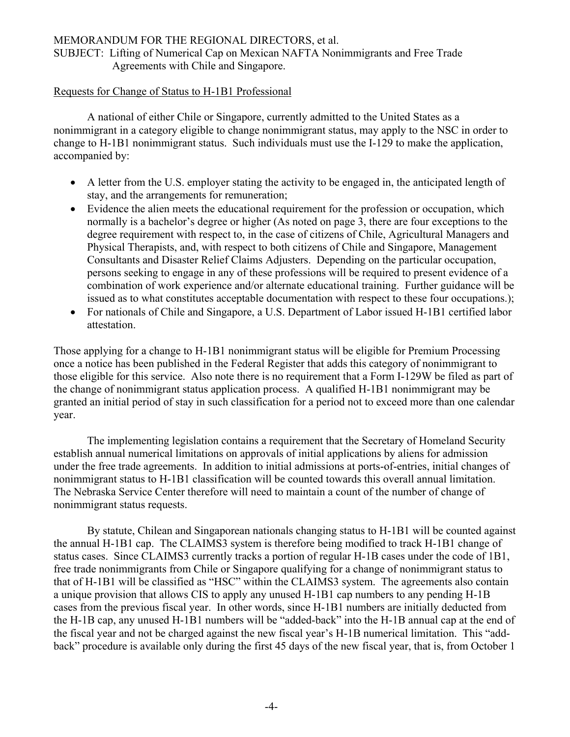## MEMORANDUM FOR THE REGIONAL DIRECTORS, et al.

SUBJECT: Lifting of Numerical Cap on Mexican NAFTA Nonimmigrants and Free Trade Agreements with Chile and Singapore.

#### Requests for Change of Status to H-1B1 Professional

A national of either Chile or Singapore, currently admitted to the United States as a nonimmigrant in a category eligible to change nonimmigrant status, may apply to the NSC in order to change to H-1B1 nonimmigrant status. Such individuals must use the I-129 to make the application, accompanied by:

- A letter from the U.S. employer stating the activity to be engaged in, the anticipated length of stay, and the arrangements for remuneration;
- Evidence the alien meets the educational requirement for the profession or occupation, which normally is a bachelor's degree or higher (As noted on page 3, there are four exceptions to the degree requirement with respect to, in the case of citizens of Chile, Agricultural Managers and Physical Therapists, and, with respect to both citizens of Chile and Singapore, Management Consultants and Disaster Relief Claims Adjusters. Depending on the particular occupation, persons seeking to engage in any of these professions will be required to present evidence of a combination of work experience and/or alternate educational training. Further guidance will be issued as to what constitutes acceptable documentation with respect to these four occupations.);
- For nationals of Chile and Singapore, a U.S. Department of Labor issued H-1B1 certified labor attestation.

Those applying for a change to H-1B1 nonimmigrant status will be eligible for Premium Processing once a notice has been published in the Federal Register that adds this category of nonimmigrant to those eligible for this service. Also note there is no requirement that a Form I-129W be filed as part of the change of nonimmigrant status application process. A qualified H-1B1 nonimmigrant may be granted an initial period of stay in such classification for a period not to exceed more than one calendar year.

The implementing legislation contains a requirement that the Secretary of Homeland Security establish annual numerical limitations on approvals of initial applications by aliens for admission under the free trade agreements. In addition to initial admissions at ports-of-entries, initial changes of nonimmigrant status to H-1B1 classification will be counted towards this overall annual limitation. The Nebraska Service Center therefore will need to maintain a count of the number of change of nonimmigrant status requests.

By statute, Chilean and Singaporean nationals changing status to H-1B1 will be counted against the annual H-1B1 cap. The CLAIMS3 system is therefore being modified to track H-1B1 change of status cases. Since CLAIMS3 currently tracks a portion of regular H-1B cases under the code of 1B1, free trade nonimmigrants from Chile or Singapore qualifying for a change of nonimmigrant status to that of H-1B1 will be classified as "HSC" within the CLAIMS3 system. The agreements also contain a unique provision that allows CIS to apply any unused H-1B1 cap numbers to any pending H-1B cases from the previous fiscal year. In other words, since H-1B1 numbers are initially deducted from the H-1B cap, any unused H-1B1 numbers will be "added-back" into the H-1B annual cap at the end of the fiscal year and not be charged against the new fiscal year's H-1B numerical limitation. This "addback" procedure is available only during the first 45 days of the new fiscal year, that is, from October 1